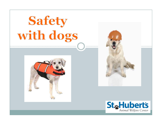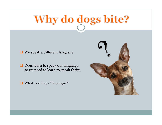# Why do dogs bite?

**□** We speak a different language.

**□** Dogs learn to speak our language, so we need to learn to speak theirs.

■ What is a dog's "language?"

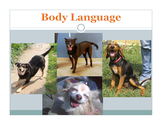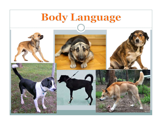## **Body Language**











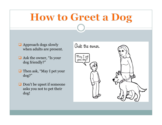## **How to Greet a Dog**

- $\Box$  Approach dogs slowly  $\Box$   $\Diamond$  sk the owner. when adults are present.
- $\Box$  Ask the owner, "Is your  $\left[\begin{array}{c} \mathfrak{M}_{\alpha\mu} \perp \text{pet} \\ \text{your dog?} \end{array}\right]$ dog friendly?"
- Then ask, "May I pet your dog?"
- **□** Don't be upset if someone asks you not to pet their dog!

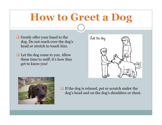## **How to Greet a Dog**

- $\Box$  Gently offer your hand to the dog. Do not reach over the dog's head or stretch to touch him.
- **□** Let the dog come to you. Allow them time to sniff, it's how they get to know you!





 If the dog is relaxed, pet or scratch under the dog's head and on the dog's shoulders or chest.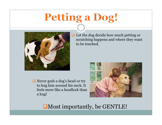## Petting a Dog!



■ Never grab a dog's head or try to hug him around his neck. It feels more like a headlock than a hug!

**□** Let the dog decide how much petting or scratching happens and where they want to be touched.



Most importantly, be GENTLE!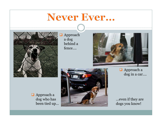### Never Ever...



**Approach** a dog behind a fence….



■ Approach a dog in a car….

■ Approach a dog who has been tied up…



…even if they are dogs you know!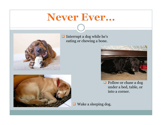## Never Ever...



 $\Box$  Interrupt a dog while he's eating or chewing a bone.



**□** Follow or chase a dog under a bed, table, or into a corner.

■ Wake a sleeping dog.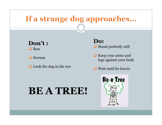#### If a strange dog approaches...

Don't :  $\Box$  Run

**□** Scream

 $\Box$  Look the dog in the eye

Do:

 $\Box$  Stand perfectly still

 $\Box$  Keep your arms and legs against your body

 $\Box$  Wait until he leaves

#### BE A TREE!

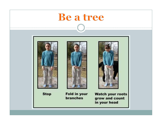